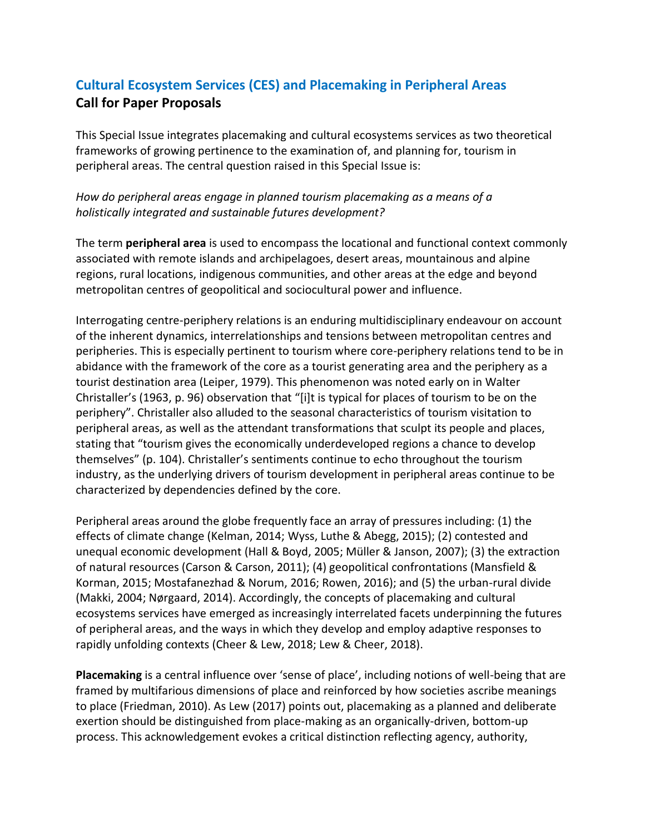# **Cultural Ecosystem Services (CES) and Placemaking in Peripheral Areas Call for Paper Proposals**

This Special Issue integrates placemaking and cultural ecosystems services as two theoretical frameworks of growing pertinence to the examination of, and planning for, tourism in peripheral areas. The central question raised in this Special Issue is:

## *How do peripheral areas engage in planned tourism placemaking as a means of a holistically integrated and sustainable futures development?*

The term **peripheral area** is used to encompass the locational and functional context commonly associated with remote islands and archipelagoes, desert areas, mountainous and alpine regions, rural locations, indigenous communities, and other areas at the edge and beyond metropolitan centres of geopolitical and sociocultural power and influence.

Interrogating centre-periphery relations is an enduring multidisciplinary endeavour on account of the inherent dynamics, interrelationships and tensions between metropolitan centres and peripheries. This is especially pertinent to tourism where core-periphery relations tend to be in abidance with the framework of the core as a tourist generating area and the periphery as a tourist destination area (Leiper, 1979). This phenomenon was noted early on in Walter Christaller's (1963, p. 96) observation that "[i]t is typical for places of tourism to be on the periphery". Christaller also alluded to the seasonal characteristics of tourism visitation to peripheral areas, as well as the attendant transformations that sculpt its people and places, stating that "tourism gives the economically underdeveloped regions a chance to develop themselves" (p. 104). Christaller's sentiments continue to echo throughout the tourism industry, as the underlying drivers of tourism development in peripheral areas continue to be characterized by dependencies defined by the core.

Peripheral areas around the globe frequently face an array of pressures including: (1) the effects of climate change (Kelman, 2014; Wyss, Luthe & Abegg, 2015); (2) contested and unequal economic development (Hall & Boyd, 2005; Müller & Janson, 2007); (3) the extraction of natural resources (Carson & Carson, 2011); (4) geopolitical confrontations (Mansfield & Korman, 2015; Mostafanezhad & Norum, 2016; Rowen, 2016); and (5) the urban-rural divide (Makki, 2004; Nørgaard, 2014). Accordingly, the concepts of placemaking and cultural ecosystems services have emerged as increasingly interrelated facets underpinning the futures of peripheral areas, and the ways in which they develop and employ adaptive responses to rapidly unfolding contexts (Cheer & Lew, 2018; Lew & Cheer, 2018).

**Placemaking** is a central influence over 'sense of place', including notions of well-being that are framed by multifarious dimensions of place and reinforced by how societies ascribe meanings to place (Friedman, 2010). As Lew (2017) points out, placemaking as a planned and deliberate exertion should be distinguished from place-making as an organically-driven, bottom-up process. This acknowledgement evokes a critical distinction reflecting agency, authority,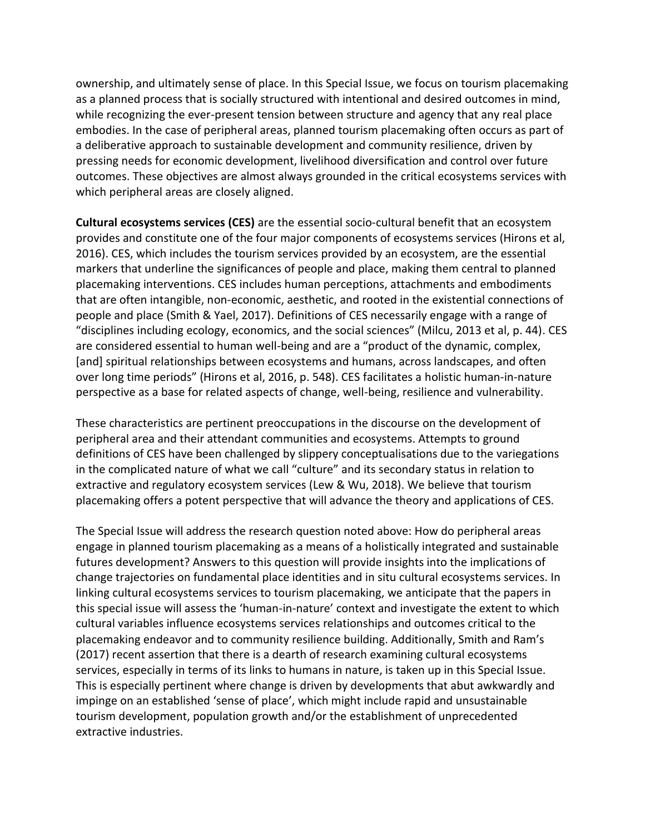ownership, and ultimately sense of place. In this Special Issue, we focus on tourism placemaking as a planned process that is socially structured with intentional and desired outcomes in mind, while recognizing the ever-present tension between structure and agency that any real place embodies. In the case of peripheral areas, planned tourism placemaking often occurs as part of a deliberative approach to sustainable development and community resilience, driven by pressing needs for economic development, livelihood diversification and control over future outcomes. These objectives are almost always grounded in the critical ecosystems services with which peripheral areas are closely aligned.

**Cultural ecosystems services (CES)** are the essential socio-cultural benefit that an ecosystem provides and constitute one of the four major components of ecosystems services (Hirons et al, 2016). CES, which includes the tourism services provided by an ecosystem, are the essential markers that underline the significances of people and place, making them central to planned placemaking interventions. CES includes human perceptions, attachments and embodiments that are often intangible, non-economic, aesthetic, and rooted in the existential connections of people and place (Smith & Yael, 2017). Definitions of CES necessarily engage with a range of "disciplines including ecology, economics, and the social sciences" (Milcu, 2013 et al, p. 44). CES are considered essential to human well-being and are a "product of the dynamic, complex, [and] spiritual relationships between ecosystems and humans, across landscapes, and often over long time periods" (Hirons et al, 2016, p. 548). CES facilitates a holistic human-in-nature perspective as a base for related aspects of change, well-being, resilience and vulnerability.

These characteristics are pertinent preoccupations in the discourse on the development of peripheral area and their attendant communities and ecosystems. Attempts to ground definitions of CES have been challenged by slippery conceptualisations due to the variegations in the complicated nature of what we call "culture" and its secondary status in relation to extractive and regulatory ecosystem services (Lew & Wu, 2018). We believe that tourism placemaking offers a potent perspective that will advance the theory and applications of CES.

The Special Issue will address the research question noted above: How do peripheral areas engage in planned tourism placemaking as a means of a holistically integrated and sustainable futures development? Answers to this question will provide insights into the implications of change trajectories on fundamental place identities and in situ cultural ecosystems services. In linking cultural ecosystems services to tourism placemaking, we anticipate that the papers in this special issue will assess the 'human-in-nature' context and investigate the extent to which cultural variables influence ecosystems services relationships and outcomes critical to the placemaking endeavor and to community resilience building. Additionally, Smith and Ram's (2017) recent assertion that there is a dearth of research examining cultural ecosystems services, especially in terms of its links to humans in nature, is taken up in this Special Issue. This is especially pertinent where change is driven by developments that abut awkwardly and impinge on an established 'sense of place', which might include rapid and unsustainable tourism development, population growth and/or the establishment of unprecedented extractive industries.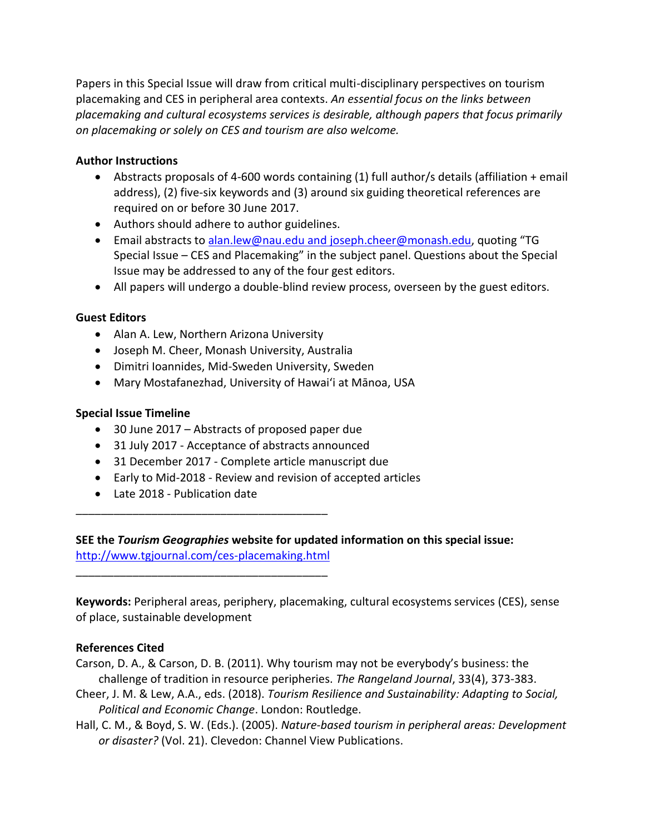Papers in this Special Issue will draw from critical multi-disciplinary perspectives on tourism placemaking and CES in peripheral area contexts. *An essential focus on the links between placemaking and cultural ecosystems services is desirable, although papers that focus primarily on placemaking or solely on CES and tourism are also welcome.*

#### **Author Instructions**

- Abstracts proposals of 4-600 words containing (1) full author/s details (affiliation + email address), (2) five-six keywords and (3) around six guiding theoretical references are required on or before 30 June 2017.
- Authors should adhere to author guidelines.
- Email abstracts to alan.lew@nau.edu and [joseph.cheer@monash.edu](mailto:alan.lew@nau.edu,%20joseph.cheer@monash.edu?subject=TG%20Special%20Issue:%20CES%20&%20Placemaking), quoting "TG Special Issue – CES and Placemaking" in the subject panel. Questions about the Special Issue may be addressed to any of the four gest editors.
- All papers will undergo a double-blind review process, overseen by the guest editors.

#### **Guest Editors**

- Alan A. Lew, Northern Arizona University
- Joseph M. Cheer, Monash University, Australia
- Dimitri Ioannides, Mid-Sweden University, Sweden
- Mary Mostafanezhad, University of Hawai'i at Mānoa, USA

### **Special Issue Timeline**

- 30 June 2017 Abstracts of proposed paper due
- 31 July 2017 Acceptance of abstracts announced
- 31 December 2017 Complete article manuscript due
- Early to Mid-2018 Review and revision of accepted articles
- Late 2018 Publication date

\_\_\_\_\_\_\_\_\_\_\_\_\_\_\_\_\_\_\_\_\_\_\_\_\_\_\_\_\_\_\_\_\_\_\_\_\_\_\_\_

\_\_\_\_\_\_\_\_\_\_\_\_\_\_\_\_\_\_\_\_\_\_\_\_\_\_\_\_\_\_\_\_\_\_\_\_\_\_\_\_

**SEE the** *Tourism Geographies* **website for updated information on this special issue:**  <http://www.tgjournal.com/ces-placemaking.html>

**Keywords:** Peripheral areas, periphery, placemaking, cultural ecosystems services (CES), sense of place, sustainable development

#### **References Cited**

Carson, D. A., & Carson, D. B. (2011). Why tourism may not be everybody's business: the challenge of tradition in resource peripheries. *The Rangeland Journal*, 33(4), 373-383.

- Cheer, J. M. & Lew, A.A., eds. (2018). *Tourism Resilience and Sustainability: Adapting to Social, Political and Economic Change*. London: Routledge.
- Hall, C. M., & Boyd, S. W. (Eds.). (2005). *Nature-based tourism in peripheral areas: Development or disaster?* (Vol. 21). Clevedon: Channel View Publications.